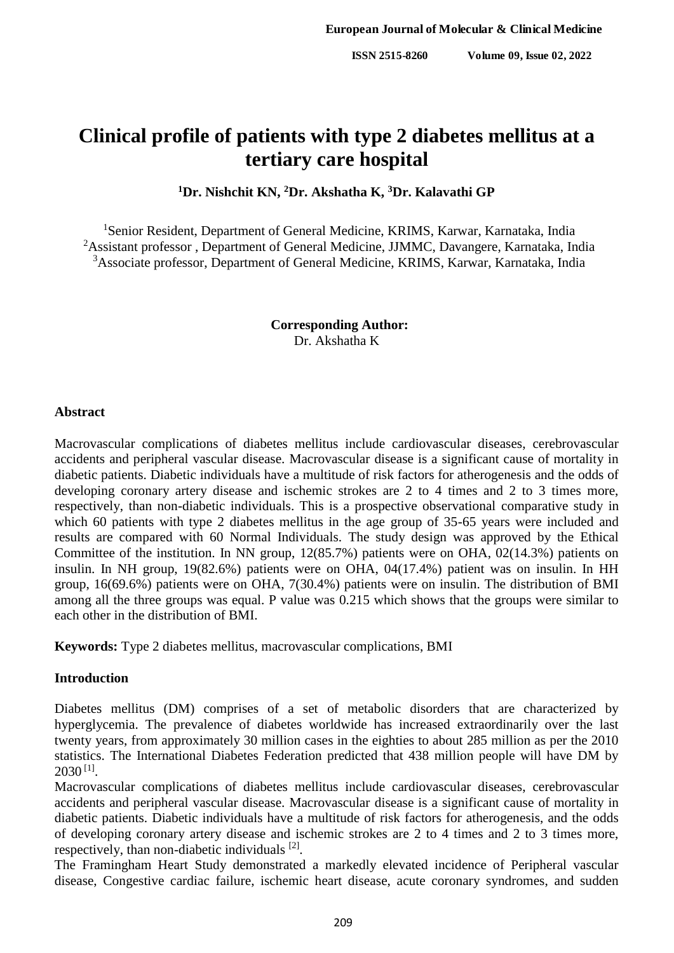# **Clinical profile of patients with type 2 diabetes mellitus at a tertiary care hospital**

**<sup>1</sup>Dr. Nishchit KN, <sup>2</sup>Dr. Akshatha K, <sup>3</sup>Dr. Kalavathi GP**

<sup>1</sup>Senior Resident, Department of General Medicine, KRIMS, Karwar, Karnataka, India <sup>2</sup>Assistant professor, Department of General Medicine, JJMMC, Davangere, Karnataka, India <sup>3</sup>Associate professor, Department of General Medicine, KRIMS, Karwar, Karnataka, India

> **Corresponding Author:**  Dr. Akshatha K

## **Abstract**

Macrovascular complications of diabetes mellitus include cardiovascular diseases, cerebrovascular accidents and peripheral vascular disease. Macrovascular disease is a significant cause of mortality in diabetic patients. Diabetic individuals have a multitude of risk factors for atherogenesis and the odds of developing coronary artery disease and ischemic strokes are 2 to 4 times and 2 to 3 times more, respectively, than non-diabetic individuals. This is a prospective observational comparative study in which 60 patients with type 2 diabetes mellitus in the age group of 35-65 years were included and results are compared with 60 Normal Individuals. The study design was approved by the Ethical Committee of the institution. In NN group, 12(85.7%) patients were on OHA, 02(14.3%) patients on insulin. In NH group, 19(82.6%) patients were on OHA, 04(17.4%) patient was on insulin. In HH group, 16(69.6%) patients were on OHA, 7(30.4%) patients were on insulin. The distribution of BMI among all the three groups was equal. P value was 0.215 which shows that the groups were similar to each other in the distribution of BMI.

**Keywords:** Type 2 diabetes mellitus, macrovascular complications, BMI

## **Introduction**

Diabetes mellitus (DM) comprises of a set of metabolic disorders that are characterized by hyperglycemia. The prevalence of diabetes worldwide has increased extraordinarily over the last twenty years, from approximately 30 million cases in the eighties to about 285 million as per the 2010 statistics. The International Diabetes Federation predicted that 438 million people will have DM by  $2030$   $^{[1]}$ .

Macrovascular complications of diabetes mellitus include cardiovascular diseases, cerebrovascular accidents and peripheral vascular disease. Macrovascular disease is a significant cause of mortality in diabetic patients. Diabetic individuals have a multitude of risk factors for atherogenesis, and the odds of developing coronary artery disease and ischemic strokes are 2 to 4 times and 2 to 3 times more, respectively, than non-diabetic individuals [2].

The Framingham Heart Study demonstrated a markedly elevated incidence of Peripheral vascular disease, Congestive cardiac failure, ischemic heart disease, acute coronary syndromes, and sudden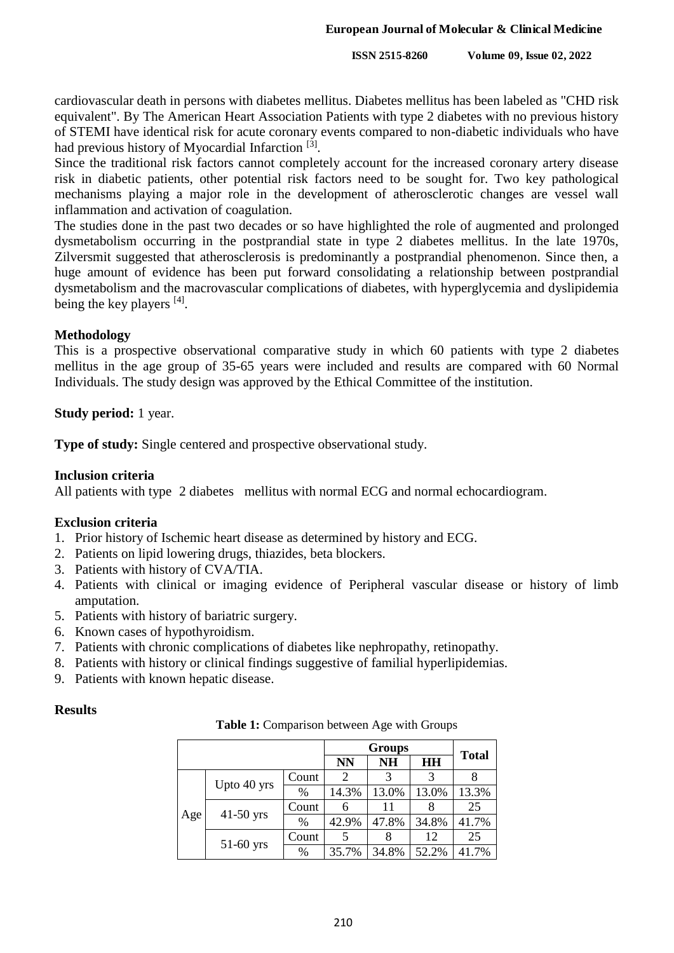**ISSN 2515-8260 Volume 09, Issue 02, 2022**

cardiovascular death in persons with diabetes mellitus. Diabetes mellitus has been labeled as "CHD risk equivalent". By The American Heart Association Patients with type 2 diabetes with no previous history of STEMI have identical risk for acute coronary events compared to non-diabetic individuals who have had previous history of Myocardial Infarction<sup>[3]</sup>.

Since the traditional risk factors cannot completely account for the increased coronary artery disease risk in diabetic patients, other potential risk factors need to be sought for. Two key pathological mechanisms playing a major role in the development of atherosclerotic changes are vessel wall inflammation and activation of coagulation.

The studies done in the past two decades or so have highlighted the role of augmented and prolonged dysmetabolism occurring in the postprandial state in type 2 diabetes mellitus. In the late 1970s, Zilversmit suggested that atherosclerosis is predominantly a postprandial phenomenon. Since then, a huge amount of evidence has been put forward consolidating a relationship between postprandial dysmetabolism and the macrovascular complications of diabetes, with hyperglycemia and dyslipidemia being the key players [4].

## **Methodology**

This is a prospective observational comparative study in which 60 patients with type 2 diabetes mellitus in the age group of 35-65 years were included and results are compared with 60 Normal Individuals. The study design was approved by the Ethical Committee of the institution.

**Study period:** 1 year.

**Type of study:** Single centered and prospective observational study.

# **Inclusion criteria**

All patients with type 2 diabetes mellitus with normal ECG and normal echocardiogram.

## **Exclusion criteria**

- 1. Prior history of Ischemic heart disease as determined by history and ECG.
- 2. Patients on lipid lowering drugs, thiazides, beta blockers.
- 3. Patients with history of CVA/TIA.
- 4. Patients with clinical or imaging evidence of Peripheral vascular disease or history of limb amputation.
- 5. Patients with history of bariatric surgery.
- 6. Known cases of hypothyroidism.
- 7. Patients with chronic complications of diabetes like nephropathy, retinopathy.
- 8. Patients with history or clinical findings suggestive of familial hyperlipidemias.
- 9. Patients with known hepatic disease.

## **Results**

**Table 1:** Comparison between Age with Groups

|     |             |       |           | <b>Groups</b> |           |              |
|-----|-------------|-------|-----------|---------------|-----------|--------------|
|     |             |       | <b>NN</b> | <b>NH</b>     | <b>HH</b> | <b>Total</b> |
|     |             | Count | 2         | 3             | 3         |              |
| Age | Upto 40 yrs | $\%$  | 14.3%     | 13.0%         | 13.0%     | 13.3%        |
|     | $41-50$ yrs | Count |           | 11            |           | 25           |
|     |             | $\%$  | 42.9%     | 47.8%         | 34.8%     | 41.7%        |
|     | $51-60$ yrs | Count |           |               | 12        | 25           |
|     |             | $\%$  | 35.7%     | 34.8%         | 52.2%     | 41.7%        |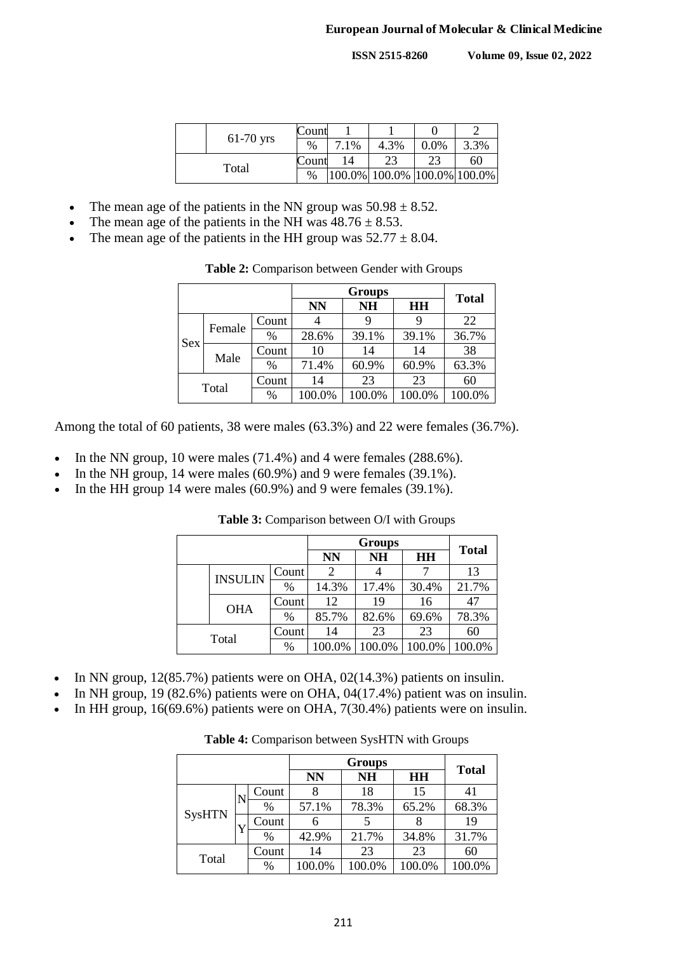**ISSN 2515-8260 Volume 09, Issue 02, 2022**

|       |             | Count |      |                             |      |      |
|-------|-------------|-------|------|-----------------------------|------|------|
|       | $61-70$ yrs | %     | 7.1% | 4.3%                        | 0.0% | 3.3% |
| Total |             | Count |      | 23                          |      | 60   |
|       |             | %     |      | 100.0% 100.0% 100.0% 100.0% |      |      |

- The mean age of the patients in the NN group was  $50.98 \pm 8.52$ .
- The mean age of the patients in the NH was  $48.76 \pm 8.53$ .
- The mean age of the patients in the HH group was  $52.77 \pm 8.04$ .

|  | Table 2: Comparison between Gender with Groups |
|--|------------------------------------------------|
|--|------------------------------------------------|

|       |        |       |           | <b>Total</b> |        |        |
|-------|--------|-------|-----------|--------------|--------|--------|
|       |        |       | <b>NN</b> | <b>NH</b>    | HH     |        |
| Sex   | Female | Count |           | 9            | 9      | 22     |
|       |        | $\%$  | 28.6%     | 39.1%        | 39.1%  | 36.7%  |
|       | Male   | Count | 10        | 14           | 14     | 38     |
|       |        | $\%$  | 71.4%     | 60.9%        | 60.9%  | 63.3%  |
| Total |        | Count | 14        | 23           | 23     | 60     |
|       |        | $\%$  | 100.0%    | 100.0%       | 100.0% | 100.0% |

Among the total of 60 patients, 38 were males (63.3%) and 22 were females (36.7%).

- In the NN group, 10 were males (71.4%) and 4 were females (288.6%).
- In the NH group, 14 were males (60.9%) and 9 were females (39.1%).
- In the HH group 14 were males (60.9%) and 9 were females (39.1%).

| <b>Groups</b> |                |           |           |           |        | <b>Total</b> |  |
|---------------|----------------|-----------|-----------|-----------|--------|--------------|--|
|               |                | <b>NN</b> | <b>NH</b> | <b>HH</b> |        |              |  |
|               | <b>INSULIN</b> | Count     |           |           |        | 13           |  |
|               |                | $\%$      | 14.3%     | 17.4%     | 30.4%  | 21.7%        |  |
|               | <b>OHA</b>     | Count     | 12        | 19        | 16     | 47           |  |
|               |                | $\%$      | 85.7%     | 82.6%     | 69.6%  | 78.3%        |  |
| Total         |                | Count     | 14        | 23        | 23     | 60           |  |
|               |                | $\%$      | 100.0%    | 100.0%    | 100.0% | 100.0%       |  |

**Table 3:** Comparison between O/I with Groups

- In NN group, 12(85.7%) patients were on OHA, 02(14.3%) patients on insulin.
- In NH group, 19 (82.6%) patients were on OHA, 04(17.4%) patient was on insulin.
- In HH group, 16(69.6%) patients were on OHA, 7(30.4%) patients were on insulin.

**Table 4:** Comparison between SysHTN with Groups

|               |   |       |           | <b>Groups</b> |        | <b>Total</b> |  |
|---------------|---|-------|-----------|---------------|--------|--------------|--|
|               |   |       | <b>NN</b> | <b>NH</b>     | HH     |              |  |
|               |   | Count |           | 18            | 15     | 41           |  |
| <b>SysHTN</b> | N | $\%$  | 57.1%     | 78.3%         | 65.2%  | 68.3%        |  |
|               |   | Count | 6         |               |        | 19           |  |
|               |   | %     | 42.9%     | 21.7%         | 34.8%  | 31.7%        |  |
|               |   | Count | 14        | 23            | 23     | 60           |  |
| Total         |   | $\%$  | 100.0%    | 100.0%        | 100.0% | 100.0%       |  |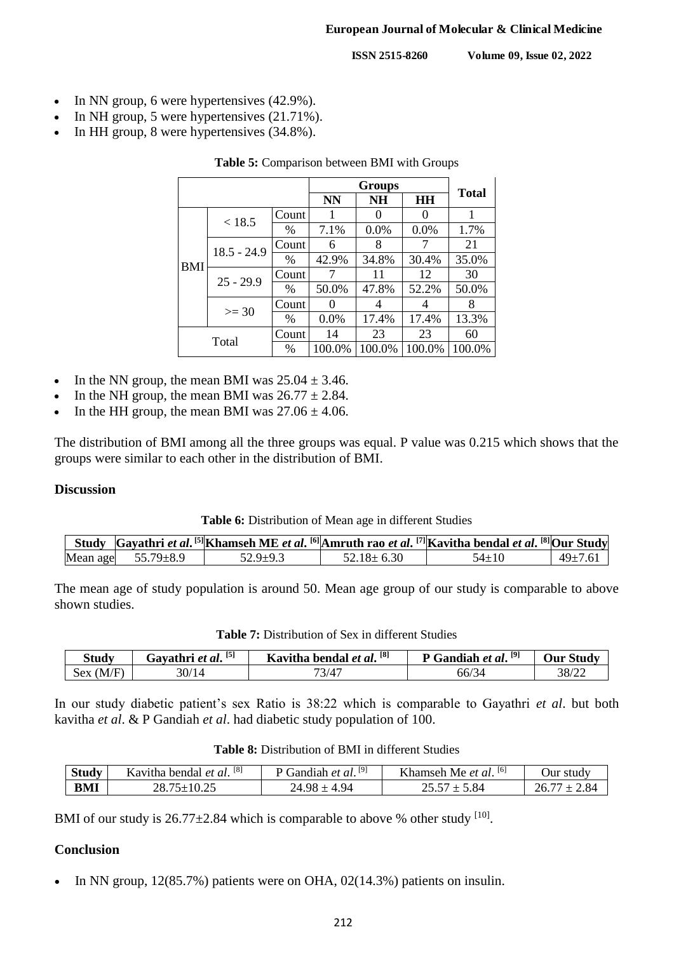#### **European Journal of Molecular & Clinical Medicine**

**ISSN 2515-8260 Volume 09, Issue 02, 2022**

- $\bullet$  In NN group, 6 were hypertensives (42.9%).
- In NH group, 5 were hypertensives (21.71%).
- In HH group, 8 were hypertensives (34.8%).

|            |               |               |        | <b>Groups</b> |        | <b>Total</b> |
|------------|---------------|---------------|--------|---------------|--------|--------------|
|            | Count         |               |        | <b>NH</b>     | HH     |              |
|            | < 18.5        |               |        |               |        | 1            |
|            |               | $\%$          | 7.1%   | 0.0%          | 0.0%   | 1.7%         |
| <b>BMI</b> | $18.5 - 24.9$ | Count         | 6      | 8             |        | 21           |
|            |               | $\frac{0}{0}$ | 42.9%  | 34.8%         | 30.4%  | 35.0%        |
|            | $25 - 29.9$   | Count         |        | 11            | 12     | 30           |
|            |               | $\frac{0}{0}$ | 50.0%  | 47.8%         | 52.2%  | 50.0%        |
|            | $>=$ 30       | Count         |        |               |        | 8            |
|            |               | $\frac{0}{0}$ | 0.0%   | 17.4%         | 17.4%  | 13.3%        |
| Total      |               | Count         | 14     | 23            | 23     | 60           |
|            |               | $\%$          | 100.0% | 100.0%        | 100.0% | 100.0%       |

#### **Table 5:** Comparison between BMI with Groups

- In the NN group, the mean BMI was  $25.04 \pm 3.46$ .
- In the NH group, the mean BMI was  $26.77 \pm 2.84$ .
- In the HH group, the mean BMI was  $27.06 \pm 4.06$ .

The distribution of BMI among all the three groups was equal. P value was 0.215 which shows that the groups were similar to each other in the distribution of BMI.

## **Discussion**

## **Table 6:** Distribution of Mean age in different Studies

|                          |          |                  | Study Gayathri et al. [5] Khamseh ME et al. [6] Amruth rao et al. [7] Kavitha bendal et al. [8] Our Study |               |
|--------------------------|----------|------------------|-----------------------------------------------------------------------------------------------------------|---------------|
| Mean age $55.79 \pm 8.9$ | 52.9±9.3 | $52.18 \pm 6.30$ | $54 \pm 10$                                                                                               | $49 \pm 7.61$ |

The mean age of study population is around 50. Mean age group of our study is comparable to above shown studies.

**Table 7:** Distribution of Sex in different Studies

| Study              | Gavathri et al. <sup>[5]</sup> | Kavitha bendal et al. [8] | Gandiah et al. <sup>[9]</sup> | <b>Dur Study</b> |
|--------------------|--------------------------------|---------------------------|-------------------------------|------------------|
| Sex<br>⁄ ⊷<br>l MD | 30/14                          | 73/47                     | -44<br>66/3                   | 38/22            |

In our study diabetic patient's sex Ratio is 38:22 which is comparable to Gayathri *et al*. but both kavitha *et al*. & P Gandiah *et al*. had diabetic study population of 100.

| <b>study</b> | [8]<br>bendal<br>Kavitha.<br>' et ai. | [9]<br>T <sub>an</sub><br>` al.<br>e i | [6]<br>$T$ $T$ 1<br>Namsen "<br><b>NIA</b><br>` et al. | study<br>Jur |
|--------------|---------------------------------------|----------------------------------------|--------------------------------------------------------|--------------|
| <b>BMI</b>   | $\sim$ $\sim$                         | -                                      | X4                                                     |              |

BMI of our study is  $26.77 \pm 2.84$  which is comparable to above % other study  $[10]$ .

# **Conclusion**

In NN group, 12(85.7%) patients were on OHA, 02(14.3%) patients on insulin.